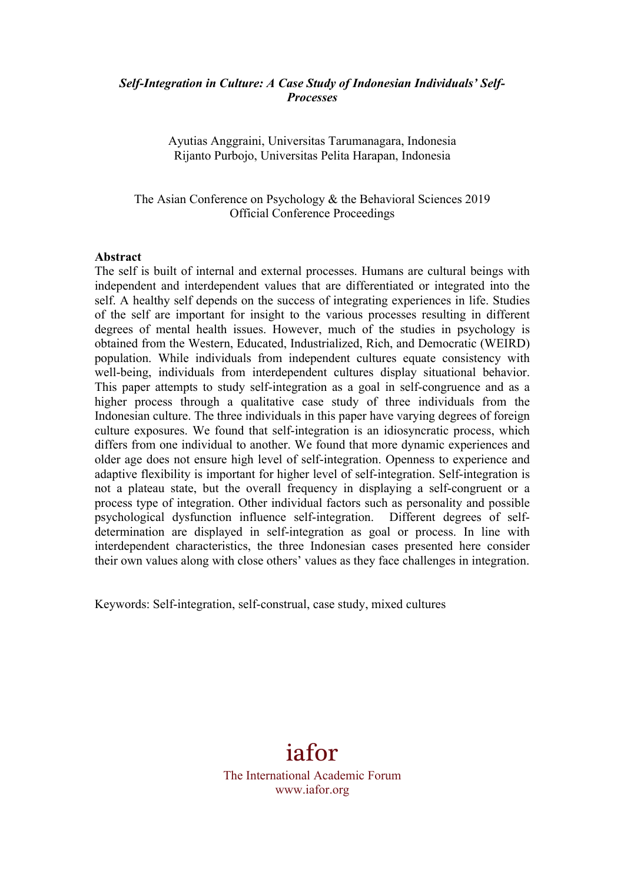#### *Self-Integration in Culture: A Case Study of Indonesian Individuals' Self-Processes*

Ayutias Anggraini, Universitas Tarumanagara, Indonesia Rijanto Purbojo, Universitas Pelita Harapan, Indonesia

The Asian Conference on Psychology & the Behavioral Sciences 2019 Official Conference Proceedings

#### **Abstract**

The self is built of internal and external processes. Humans are cultural beings with independent and interdependent values that are differentiated or integrated into the self. A healthy self depends on the success of integrating experiences in life. Studies of the self are important for insight to the various processes resulting in different degrees of mental health issues. However, much of the studies in psychology is obtained from the Western, Educated, Industrialized, Rich, and Democratic (WEIRD) population. While individuals from independent cultures equate consistency with well-being, individuals from interdependent cultures display situational behavior. This paper attempts to study self-integration as a goal in self-congruence and as a higher process through a qualitative case study of three individuals from the Indonesian culture. The three individuals in this paper have varying degrees of foreign culture exposures. We found that self-integration is an idiosyncratic process, which differs from one individual to another. We found that more dynamic experiences and older age does not ensure high level of self-integration. Openness to experience and adaptive flexibility is important for higher level of self-integration. Self-integration is not a plateau state, but the overall frequency in displaying a self-congruent or a process type of integration. Other individual factors such as personality and possible psychological dysfunction influence self-integration. Different degrees of selfdetermination are displayed in self-integration as goal or process. In line with interdependent characteristics, the three Indonesian cases presented here consider their own values along with close others' values as they face challenges in integration.

Keywords: Self-integration, self-construal, case study, mixed cultures

# iafor

The International Academic Forum www.iafor.org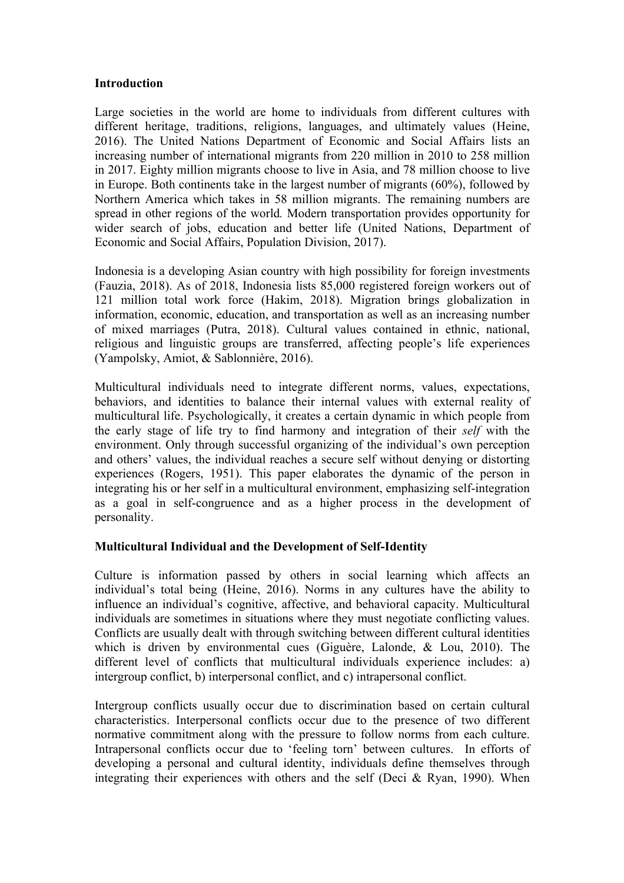#### **Introduction**

Large societies in the world are home to individuals from different cultures with different heritage, traditions, religions, languages, and ultimately values (Heine, 2016). The United Nations Department of Economic and Social Affairs lists an increasing number of international migrants from 220 million in 2010 to 258 million in 2017. Eighty million migrants choose to live in Asia, and 78 million choose to live in Europe. Both continents take in the largest number of migrants (60%), followed by Northern America which takes in 58 million migrants. The remaining numbers are spread in other regions of the world*.* Modern transportation provides opportunity for wider search of jobs, education and better life (United Nations, Department of Economic and Social Affairs, Population Division, 2017).

Indonesia is a developing Asian country with high possibility for foreign investments (Fauzia, 2018). As of 2018, Indonesia lists 85,000 registered foreign workers out of 121 million total work force (Hakim, 2018). Migration brings globalization in information, economic, education, and transportation as well as an increasing number of mixed marriages (Putra, 2018). Cultural values contained in ethnic, national, religious and linguistic groups are transferred, affecting people's life experiences (Yampolsky, Amiot, & Sablonnière, 2016).

Multicultural individuals need to integrate different norms, values, expectations, behaviors, and identities to balance their internal values with external reality of multicultural life. Psychologically, it creates a certain dynamic in which people from the early stage of life try to find harmony and integration of their *self* with the environment. Only through successful organizing of the individual's own perception and others' values, the individual reaches a secure self without denying or distorting experiences (Rogers, 1951). This paper elaborates the dynamic of the person in integrating his or her self in a multicultural environment, emphasizing self-integration as a goal in self-congruence and as a higher process in the development of personality.

#### **Multicultural Individual and the Development of Self-Identity**

Culture is information passed by others in social learning which affects an individual's total being (Heine, 2016). Norms in any cultures have the ability to influence an individual's cognitive, affective, and behavioral capacity. Multicultural individuals are sometimes in situations where they must negotiate conflicting values. Conflicts are usually dealt with through switching between different cultural identities which is driven by environmental cues (Giguère, Lalonde, & Lou, 2010). The different level of conflicts that multicultural individuals experience includes: a) intergroup conflict, b) interpersonal conflict, and c) intrapersonal conflict.

Intergroup conflicts usually occur due to discrimination based on certain cultural characteristics. Interpersonal conflicts occur due to the presence of two different normative commitment along with the pressure to follow norms from each culture. Intrapersonal conflicts occur due to 'feeling torn' between cultures. In efforts of developing a personal and cultural identity, individuals define themselves through integrating their experiences with others and the self (Deci  $\&$  Ryan, 1990). When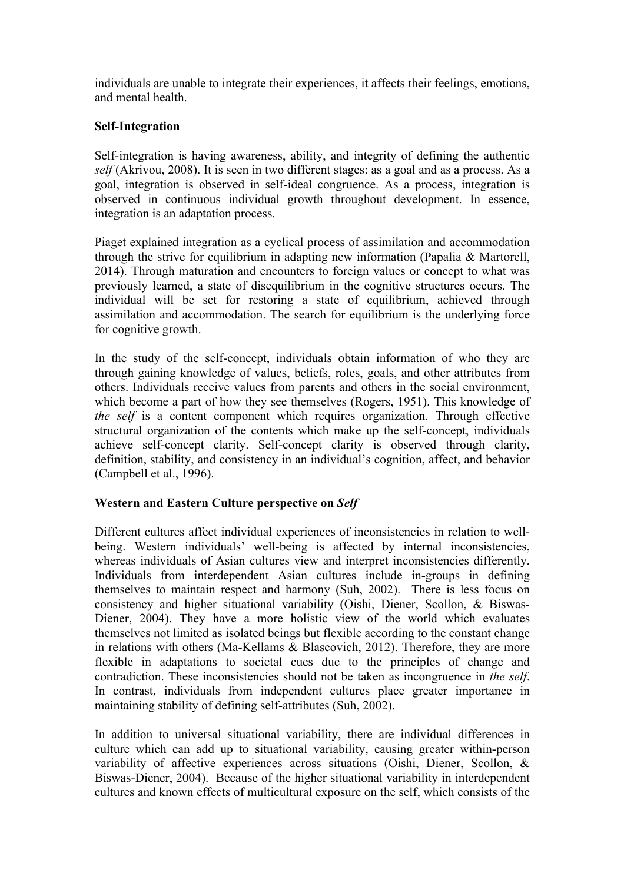individuals are unable to integrate their experiences, it affects their feelings, emotions, and mental health.

## **Self-Integration**

Self-integration is having awareness, ability, and integrity of defining the authentic *self* (Akrivou, 2008). It is seen in two different stages: as a goal and as a process. As a goal, integration is observed in self-ideal congruence. As a process, integration is observed in continuous individual growth throughout development. In essence, integration is an adaptation process.

Piaget explained integration as a cyclical process of assimilation and accommodation through the strive for equilibrium in adapting new information (Papalia & Martorell, 2014). Through maturation and encounters to foreign values or concept to what was previously learned, a state of disequilibrium in the cognitive structures occurs. The individual will be set for restoring a state of equilibrium, achieved through assimilation and accommodation. The search for equilibrium is the underlying force for cognitive growth.

In the study of the self-concept, individuals obtain information of who they are through gaining knowledge of values, beliefs, roles, goals, and other attributes from others. Individuals receive values from parents and others in the social environment, which become a part of how they see themselves (Rogers, 1951). This knowledge of *the self* is a content component which requires organization. Through effective structural organization of the contents which make up the self-concept, individuals achieve self-concept clarity. Self-concept clarity is observed through clarity, definition, stability, and consistency in an individual's cognition, affect, and behavior (Campbell et al., 1996).

## **Western and Eastern Culture perspective on** *Self*

Different cultures affect individual experiences of inconsistencies in relation to wellbeing. Western individuals' well-being is affected by internal inconsistencies, whereas individuals of Asian cultures view and interpret inconsistencies differently. Individuals from interdependent Asian cultures include in-groups in defining themselves to maintain respect and harmony (Suh, 2002). There is less focus on consistency and higher situational variability (Oishi, Diener, Scollon, & Biswas-Diener, 2004). They have a more holistic view of the world which evaluates themselves not limited as isolated beings but flexible according to the constant change in relations with others (Ma-Kellams & Blascovich, 2012). Therefore, they are more flexible in adaptations to societal cues due to the principles of change and contradiction. These inconsistencies should not be taken as incongruence in *the self*. In contrast, individuals from independent cultures place greater importance in maintaining stability of defining self-attributes (Suh, 2002).

In addition to universal situational variability, there are individual differences in culture which can add up to situational variability, causing greater within-person variability of affective experiences across situations (Oishi, Diener, Scollon, & Biswas-Diener, 2004). Because of the higher situational variability in interdependent cultures and known effects of multicultural exposure on the self, which consists of the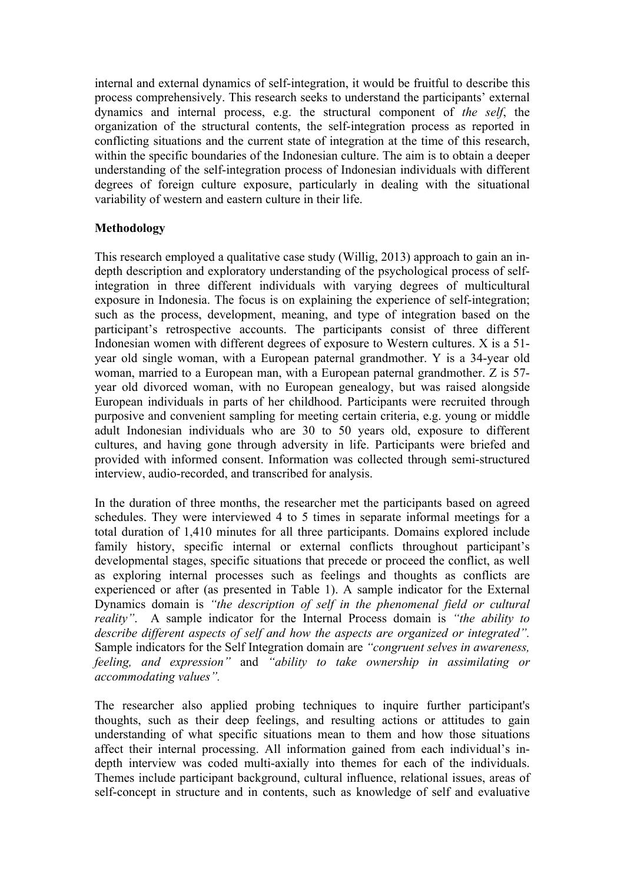internal and external dynamics of self-integration, it would be fruitful to describe this process comprehensively. This research seeks to understand the participants' external dynamics and internal process, e.g. the structural component of *the self*, the organization of the structural contents, the self-integration process as reported in conflicting situations and the current state of integration at the time of this research, within the specific boundaries of the Indonesian culture. The aim is to obtain a deeper understanding of the self-integration process of Indonesian individuals with different degrees of foreign culture exposure, particularly in dealing with the situational variability of western and eastern culture in their life.

## **Methodology**

This research employed a qualitative case study (Willig, 2013) approach to gain an indepth description and exploratory understanding of the psychological process of selfintegration in three different individuals with varying degrees of multicultural exposure in Indonesia. The focus is on explaining the experience of self-integration; such as the process, development, meaning, and type of integration based on the participant's retrospective accounts. The participants consist of three different Indonesian women with different degrees of exposure to Western cultures. X is a 51 year old single woman, with a European paternal grandmother. Y is a 34-year old woman, married to a European man, with a European paternal grandmother. Z is 57 year old divorced woman, with no European genealogy, but was raised alongside European individuals in parts of her childhood. Participants were recruited through purposive and convenient sampling for meeting certain criteria, e.g. young or middle adult Indonesian individuals who are 30 to 50 years old, exposure to different cultures, and having gone through adversity in life. Participants were briefed and provided with informed consent. Information was collected through semi-structured interview, audio-recorded, and transcribed for analysis.

In the duration of three months, the researcher met the participants based on agreed schedules. They were interviewed 4 to 5 times in separate informal meetings for a total duration of 1,410 minutes for all three participants. Domains explored include family history, specific internal or external conflicts throughout participant's developmental stages, specific situations that precede or proceed the conflict, as well as exploring internal processes such as feelings and thoughts as conflicts are experienced or after (as presented in Table 1). A sample indicator for the External Dynamics domain is *"the description of self in the phenomenal field or cultural reality"*. A sample indicator for the Internal Process domain is *"the ability to describe different aspects of self and how the aspects are organized or integrated".*  Sample indicators for the Self Integration domain are *"congruent selves in awareness, feeling, and expression"* and *"ability to take ownership in assimilating or accommodating values".*

The researcher also applied probing techniques to inquire further participant's thoughts, such as their deep feelings, and resulting actions or attitudes to gain understanding of what specific situations mean to them and how those situations affect their internal processing. All information gained from each individual's indepth interview was coded multi-axially into themes for each of the individuals. Themes include participant background, cultural influence, relational issues, areas of self-concept in structure and in contents, such as knowledge of self and evaluative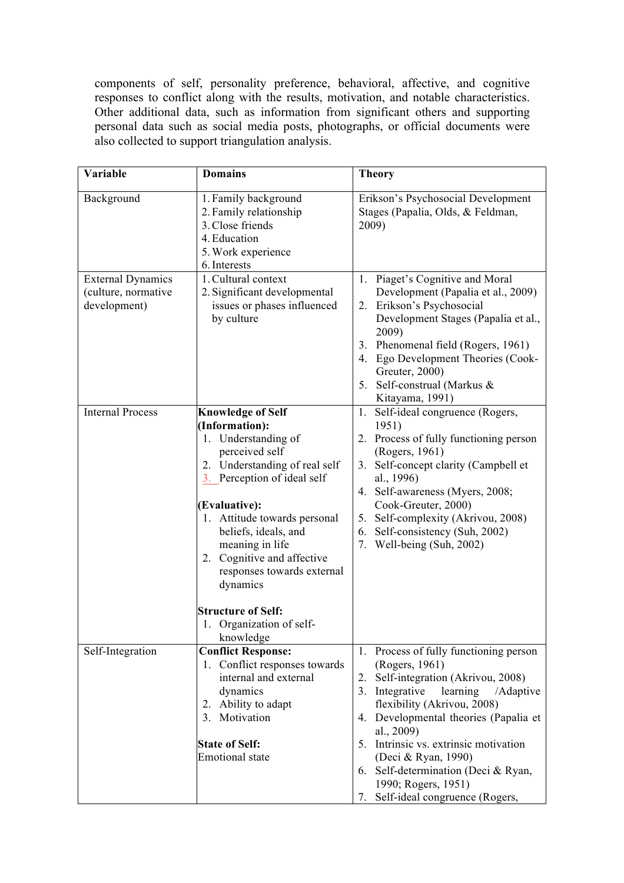components of self, personality preference, behavioral, affective, and cognitive responses to conflict along with the results, motivation, and notable characteristics. Other additional data, such as information from significant others and supporting personal data such as social media posts, photographs, or official documents were also collected to support triangulation analysis.

| Variable                                                        | <b>Domains</b>                                                                                                                                                                                                                                                                                                                                                                                | <b>Theory</b>                                                                                                                                                                                                                                                                                                                                                                                       |  |  |
|-----------------------------------------------------------------|-----------------------------------------------------------------------------------------------------------------------------------------------------------------------------------------------------------------------------------------------------------------------------------------------------------------------------------------------------------------------------------------------|-----------------------------------------------------------------------------------------------------------------------------------------------------------------------------------------------------------------------------------------------------------------------------------------------------------------------------------------------------------------------------------------------------|--|--|
| Background                                                      | 1. Family background<br>2. Family relationship<br>3. Close friends<br>4. Education<br>5. Work experience<br>6. Interests                                                                                                                                                                                                                                                                      | Erikson's Psychosocial Development<br>Stages (Papalia, Olds, & Feldman,<br>2009)                                                                                                                                                                                                                                                                                                                    |  |  |
| <b>External Dynamics</b><br>(culture, normative<br>development) | 1. Cultural context<br>2. Significant developmental<br>issues or phases influenced<br>by culture                                                                                                                                                                                                                                                                                              | 1. Piaget's Cognitive and Moral<br>Development (Papalia et al., 2009)<br>2. Erikson's Psychosocial<br>Development Stages (Papalia et al.,<br>2009)<br>3. Phenomenal field (Rogers, 1961)<br>4. Ego Development Theories (Cook-<br>Greuter, 2000)<br>Self-construal (Markus &<br>5.<br>Kitayama, 1991)                                                                                               |  |  |
| <b>Internal Process</b>                                         | <b>Knowledge of Self</b><br>(Information):<br>1. Understanding of<br>perceived self<br>2. Understanding of real self<br>3. Perception of ideal self<br>(Evaluative):<br>1. Attitude towards personal<br>beliefs, ideals, and<br>meaning in life<br>2. Cognitive and affective<br>responses towards external<br>dynamics<br><b>Structure of Self:</b><br>1. Organization of self-<br>knowledge | Self-ideal congruence (Rogers,<br>1.<br>1951)<br>2. Process of fully functioning person<br>(Rogers, 1961)<br>Self-concept clarity (Campbell et<br>3.<br>al., 1996)<br>4. Self-awareness (Myers, 2008;<br>Cook-Greuter, 2000)<br>Self-complexity (Akrivou, 2008)<br>5.<br>6. Self-consistency (Suh, 2002)<br>7. Well-being (Suh, 2002)                                                               |  |  |
| Self-Integration                                                | <b>Conflict Response:</b><br>1. Conflict responses towards<br>internal and external<br>dynamics<br>2. Ability to adapt<br>3. Motivation<br><b>State of Self:</b><br><b>Emotional</b> state                                                                                                                                                                                                    | 1. Process of fully functioning person<br>(Rogers, 1961)<br>2. Self-integration (Akrivou, 2008)<br>3. Integrative<br>learning<br>/Adaptive<br>flexibility (Akrivou, 2008)<br>4. Developmental theories (Papalia et<br>al., 2009)<br>5. Intrinsic vs. extrinsic motivation<br>(Deci & Ryan, 1990)<br>6. Self-determination (Deci & Ryan,<br>1990; Rogers, 1951)<br>7. Self-ideal congruence (Rogers, |  |  |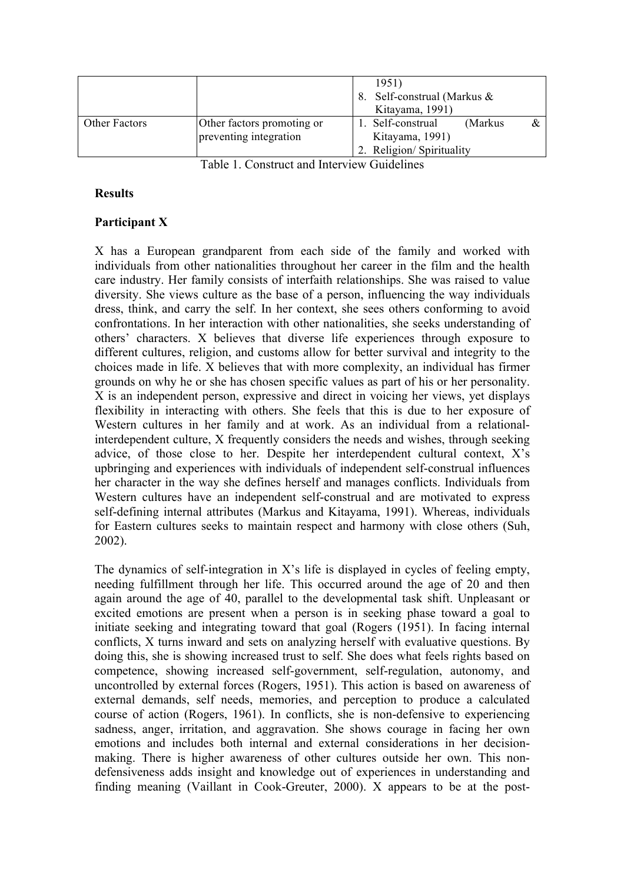|                      |                                                      | 1951)<br>8. Self-construal (Markus &<br>Kitayama, 1991) |                                                                  |          |  |  |
|----------------------|------------------------------------------------------|---------------------------------------------------------|------------------------------------------------------------------|----------|--|--|
| <b>Other Factors</b> | Other factors promoting or<br>preventing integration |                                                         | 1. Self-construal<br>Kitayama, 1991)<br>2. Religion/Spirituality | (Markus) |  |  |
|                      |                                                      |                                                         |                                                                  |          |  |  |

Table 1. Construct and Interview Guidelines

### **Results**

### **Participant X**

X has a European grandparent from each side of the family and worked with individuals from other nationalities throughout her career in the film and the health care industry. Her family consists of interfaith relationships. She was raised to value diversity. She views culture as the base of a person, influencing the way individuals dress, think, and carry the self. In her context, she sees others conforming to avoid confrontations. In her interaction with other nationalities, she seeks understanding of others' characters. X believes that diverse life experiences through exposure to different cultures, religion, and customs allow for better survival and integrity to the choices made in life. X believes that with more complexity, an individual has firmer grounds on why he or she has chosen specific values as part of his or her personality. X is an independent person, expressive and direct in voicing her views, yet displays flexibility in interacting with others. She feels that this is due to her exposure of Western cultures in her family and at work. As an individual from a relationalinterdependent culture, X frequently considers the needs and wishes, through seeking advice, of those close to her. Despite her interdependent cultural context, X's upbringing and experiences with individuals of independent self-construal influences her character in the way she defines herself and manages conflicts. Individuals from Western cultures have an independent self-construal and are motivated to express self-defining internal attributes (Markus and Kitayama, 1991). Whereas, individuals for Eastern cultures seeks to maintain respect and harmony with close others (Suh, 2002).

The dynamics of self-integration in X's life is displayed in cycles of feeling empty, needing fulfillment through her life. This occurred around the age of 20 and then again around the age of 40, parallel to the developmental task shift. Unpleasant or excited emotions are present when a person is in seeking phase toward a goal to initiate seeking and integrating toward that goal (Rogers (1951). In facing internal conflicts, X turns inward and sets on analyzing herself with evaluative questions. By doing this, she is showing increased trust to self. She does what feels rights based on competence, showing increased self-government, self-regulation, autonomy, and uncontrolled by external forces (Rogers, 1951). This action is based on awareness of external demands, self needs, memories, and perception to produce a calculated course of action (Rogers, 1961). In conflicts, she is non-defensive to experiencing sadness, anger, irritation, and aggravation. She shows courage in facing her own emotions and includes both internal and external considerations in her decisionmaking. There is higher awareness of other cultures outside her own. This nondefensiveness adds insight and knowledge out of experiences in understanding and finding meaning (Vaillant in Cook-Greuter, 2000). X appears to be at the post-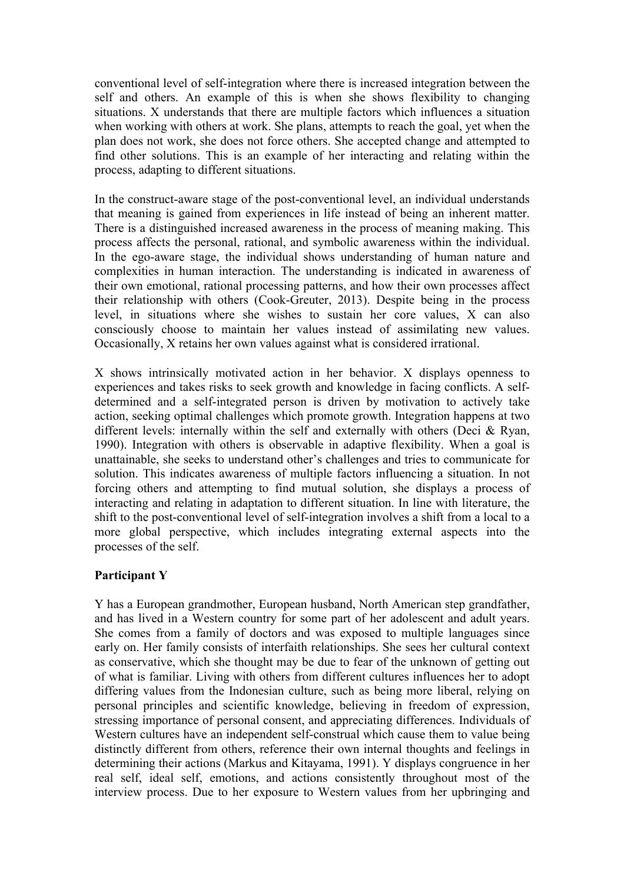conventional level of self-integration where there is increased integration between the self and others. An example of this is when she shows flexibility to changing situations. X understands that there are multiple factors which influences a situation when working with others at work. She plans, attempts to reach the goal, yet when the plan does not work, she does not force others. She accepted change and attempted to find other solutions. This is an example of her interacting and relating within the process, adapting to different situations.

In the construct-aware stage of the post-conventional level, an individual understands that meaning is gained from experiences in life instead of being an inherent matter. There is a distinguished increased awareness in the process of meaning making. This process affects the personal, rational, and symbolic awareness within the individual. In the ego-aware stage, the individual shows understanding of human nature and complexities in human interaction. The understanding is indicated in awareness of their own emotional, rational processing patterns, and how their own processes affect their relationship with others (Cook-Greuter, 2013). Despite being in the process level, in situations where she wishes to sustain her core values, X can also consciously choose to maintain her values instead of assimilating new values. Occasionally, X retains her own values against what is considered irrational.

X shows intrinsically motivated action in her behavior. X displays openness to experiences and takes risks to seek growth and knowledge in facing conflicts. A selfdetermined and a self-integrated person is driven by motivation to actively take action, seeking optimal challenges which promote growth. Integration happens at two different levels: internally within the self and externally with others (Deci & Ryan, 1990). Integration with others is observable in adaptive flexibility. When a goal is unattainable, she seeks to understand other's challenges and tries to communicate for solution. This indicates awareness of multiple factors influencing a situation. In not forcing others and attempting to find mutual solution, she displays a process of interacting and relating in adaptation to different situation. In line with literature, the shift to the post-conventional level of self-integration involves a shift from a local to a more global perspective, which includes integrating external aspects into the processes of the self.

#### **Participant Y**

Y has a European grandmother, European husband, North American step grandfather, and has lived in a Western country for some part of her adolescent and adult years. She comes from a family of doctors and was exposed to multiple languages since early on. Her family consists of interfaith relationships. She sees her cultural context as conservative, which she thought may be due to fear of the unknown of getting out of what is familiar. Living with others from different cultures influences her to adopt differing values from the Indonesian culture, such as being more liberal, relying on personal principles and scientific knowledge, believing in freedom of expression, stressing importance of personal consent, and appreciating differences. Individuals of Western cultures have an independent self-construal which cause them to value being distinctly different from others, reference their own internal thoughts and feelings in determining their actions (Markus and Kitayama, 1991). Y displays congruence in her real self, ideal self, emotions, and actions consistently throughout most of the interview process. Due to her exposure to Western values from her upbringing and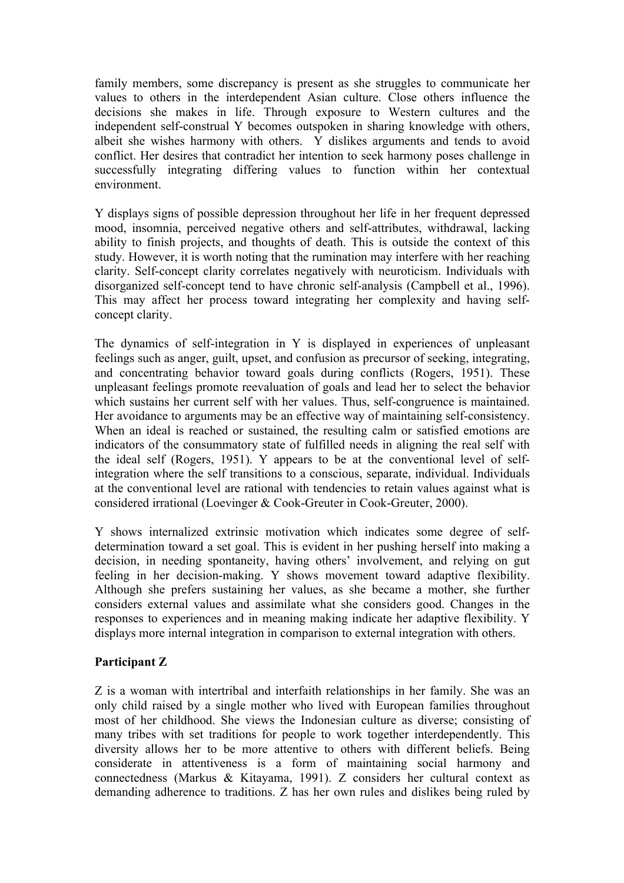family members, some discrepancy is present as she struggles to communicate her values to others in the interdependent Asian culture. Close others influence the decisions she makes in life. Through exposure to Western cultures and the independent self-construal Y becomes outspoken in sharing knowledge with others, albeit she wishes harmony with others. Y dislikes arguments and tends to avoid conflict. Her desires that contradict her intention to seek harmony poses challenge in successfully integrating differing values to function within her contextual environment.

Y displays signs of possible depression throughout her life in her frequent depressed mood, insomnia, perceived negative others and self-attributes, withdrawal, lacking ability to finish projects, and thoughts of death. This is outside the context of this study. However, it is worth noting that the rumination may interfere with her reaching clarity. Self-concept clarity correlates negatively with neuroticism. Individuals with disorganized self-concept tend to have chronic self-analysis (Campbell et al., 1996). This may affect her process toward integrating her complexity and having selfconcept clarity.

The dynamics of self-integration in Y is displayed in experiences of unpleasant feelings such as anger, guilt, upset, and confusion as precursor of seeking, integrating, and concentrating behavior toward goals during conflicts (Rogers, 1951). These unpleasant feelings promote reevaluation of goals and lead her to select the behavior which sustains her current self with her values. Thus, self-congruence is maintained. Her avoidance to arguments may be an effective way of maintaining self-consistency. When an ideal is reached or sustained, the resulting calm or satisfied emotions are indicators of the consummatory state of fulfilled needs in aligning the real self with the ideal self (Rogers, 1951). Y appears to be at the conventional level of selfintegration where the self transitions to a conscious, separate, individual. Individuals at the conventional level are rational with tendencies to retain values against what is considered irrational (Loevinger & Cook-Greuter in Cook-Greuter, 2000).

Y shows internalized extrinsic motivation which indicates some degree of selfdetermination toward a set goal. This is evident in her pushing herself into making a decision, in needing spontaneity, having others' involvement, and relying on gut feeling in her decision-making. Y shows movement toward adaptive flexibility. Although she prefers sustaining her values, as she became a mother, she further considers external values and assimilate what she considers good. Changes in the responses to experiences and in meaning making indicate her adaptive flexibility. Y displays more internal integration in comparison to external integration with others.

## **Participant Z**

Z is a woman with intertribal and interfaith relationships in her family. She was an only child raised by a single mother who lived with European families throughout most of her childhood. She views the Indonesian culture as diverse; consisting of many tribes with set traditions for people to work together interdependently. This diversity allows her to be more attentive to others with different beliefs. Being considerate in attentiveness is a form of maintaining social harmony and connectedness (Markus & Kitayama, 1991). Z considers her cultural context as demanding adherence to traditions. Z has her own rules and dislikes being ruled by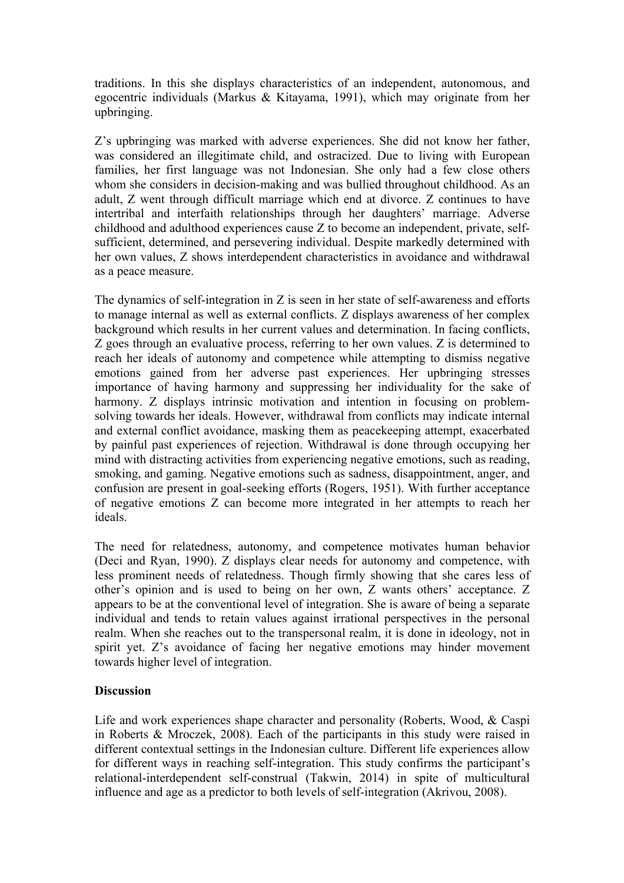traditions. In this she displays characteristics of an independent, autonomous, and egocentric individuals (Markus & Kitayama, 1991), which may originate from her upbringing.

Z's upbringing was marked with adverse experiences. She did not know her father, was considered an illegitimate child, and ostracized. Due to living with European families, her first language was not Indonesian. She only had a few close others whom she considers in decision-making and was bullied throughout childhood. As an adult, Z went through difficult marriage which end at divorce. Z continues to have intertribal and interfaith relationships through her daughters' marriage. Adverse childhood and adulthood experiences cause Z to become an independent, private, selfsufficient, determined, and persevering individual. Despite markedly determined with her own values, Z shows interdependent characteristics in avoidance and withdrawal as a peace measure.

The dynamics of self-integration in Z is seen in her state of self-awareness and efforts to manage internal as well as external conflicts. Z displays awareness of her complex background which results in her current values and determination. In facing conflicts, Z goes through an evaluative process, referring to her own values. Z is determined to reach her ideals of autonomy and competence while attempting to dismiss negative emotions gained from her adverse past experiences. Her upbringing stresses importance of having harmony and suppressing her individuality for the sake of harmony. Z displays intrinsic motivation and intention in focusing on problemsolving towards her ideals. However, withdrawal from conflicts may indicate internal and external conflict avoidance, masking them as peacekeeping attempt, exacerbated by painful past experiences of rejection. Withdrawal is done through occupying her mind with distracting activities from experiencing negative emotions, such as reading, smoking, and gaming. Negative emotions such as sadness, disappointment, anger, and confusion are present in goal-seeking efforts (Rogers, 1951). With further acceptance of negative emotions Z can become more integrated in her attempts to reach her ideals.

The need for relatedness, autonomy, and competence motivates human behavior (Deci and Ryan, 1990). Z displays clear needs for autonomy and competence, with less prominent needs of relatedness. Though firmly showing that she cares less of other's opinion and is used to being on her own, Z wants others' acceptance. Z appears to be at the conventional level of integration. She is aware of being a separate individual and tends to retain values against irrational perspectives in the personal realm. When she reaches out to the transpersonal realm, it is done in ideology, not in spirit yet. Z's avoidance of facing her negative emotions may hinder movement towards higher level of integration.

## **Discussion**

Life and work experiences shape character and personality (Roberts, Wood, & Caspi in Roberts & Mroczek, 2008). Each of the participants in this study were raised in different contextual settings in the Indonesian culture. Different life experiences allow for different ways in reaching self-integration. This study confirms the participant's relational-interdependent self-construal (Takwin, 2014) in spite of multicultural influence and age as a predictor to both levels of self-integration (Akrivou, 2008).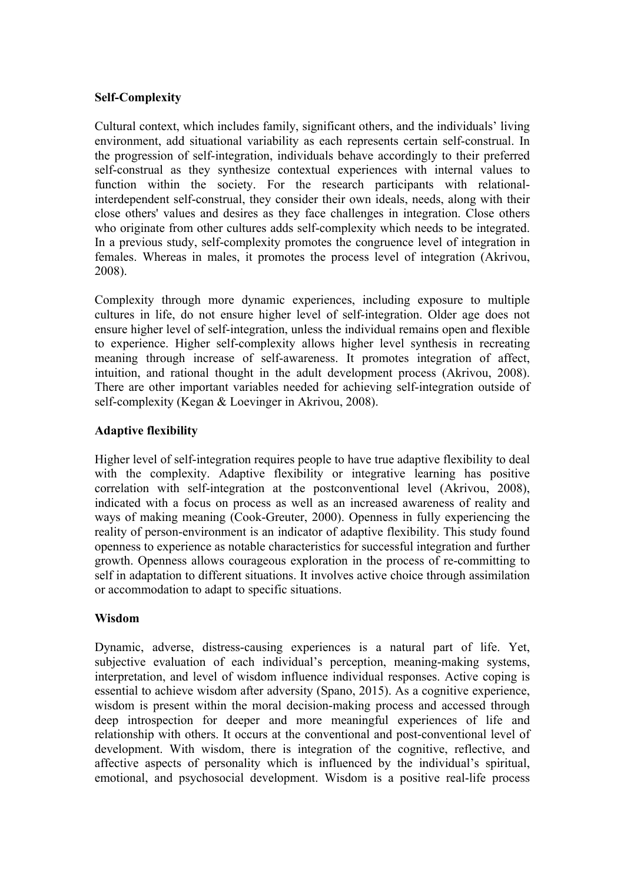## **Self-Complexity**

Cultural context, which includes family, significant others, and the individuals' living environment, add situational variability as each represents certain self-construal. In the progression of self-integration, individuals behave accordingly to their preferred self-construal as they synthesize contextual experiences with internal values to function within the society. For the research participants with relationalinterdependent self-construal, they consider their own ideals, needs, along with their close others' values and desires as they face challenges in integration. Close others who originate from other cultures adds self-complexity which needs to be integrated. In a previous study, self-complexity promotes the congruence level of integration in females. Whereas in males, it promotes the process level of integration (Akrivou, 2008).

Complexity through more dynamic experiences, including exposure to multiple cultures in life, do not ensure higher level of self-integration. Older age does not ensure higher level of self-integration, unless the individual remains open and flexible to experience. Higher self-complexity allows higher level synthesis in recreating meaning through increase of self-awareness. It promotes integration of affect, intuition, and rational thought in the adult development process (Akrivou, 2008). There are other important variables needed for achieving self-integration outside of self-complexity (Kegan & Loevinger in Akrivou, 2008).

### **Adaptive flexibility**

Higher level of self-integration requires people to have true adaptive flexibility to deal with the complexity. Adaptive flexibility or integrative learning has positive correlation with self-integration at the postconventional level (Akrivou, 2008), indicated with a focus on process as well as an increased awareness of reality and ways of making meaning (Cook-Greuter, 2000). Openness in fully experiencing the reality of person-environment is an indicator of adaptive flexibility. This study found openness to experience as notable characteristics for successful integration and further growth. Openness allows courageous exploration in the process of re-committing to self in adaptation to different situations. It involves active choice through assimilation or accommodation to adapt to specific situations.

## **Wisdom**

Dynamic, adverse, distress-causing experiences is a natural part of life. Yet, subjective evaluation of each individual's perception, meaning-making systems, interpretation, and level of wisdom influence individual responses. Active coping is essential to achieve wisdom after adversity (Spano, 2015). As a cognitive experience, wisdom is present within the moral decision-making process and accessed through deep introspection for deeper and more meaningful experiences of life and relationship with others. It occurs at the conventional and post-conventional level of development. With wisdom, there is integration of the cognitive, reflective, and affective aspects of personality which is influenced by the individual's spiritual, emotional, and psychosocial development. Wisdom is a positive real-life process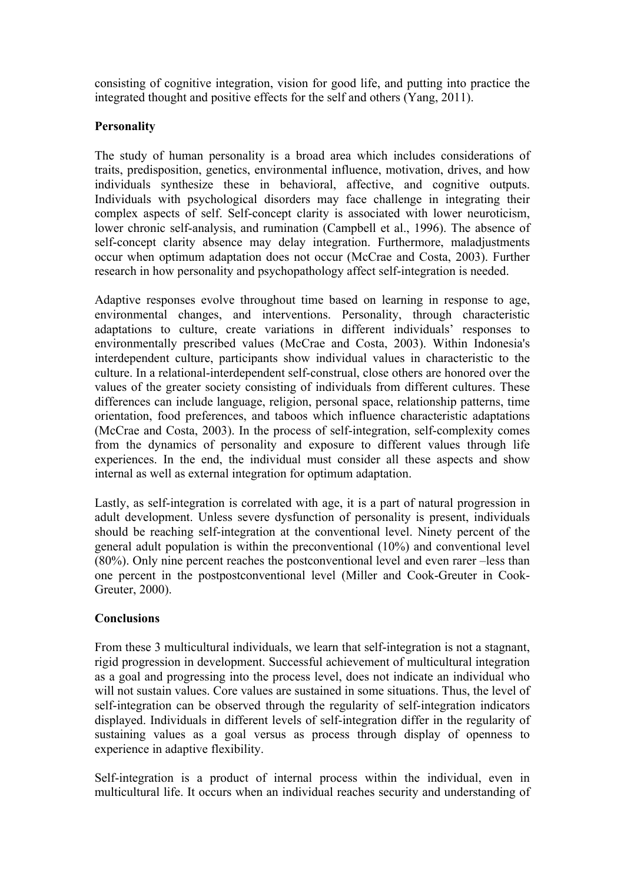consisting of cognitive integration, vision for good life, and putting into practice the integrated thought and positive effects for the self and others (Yang, 2011).

## **Personality**

The study of human personality is a broad area which includes considerations of traits, predisposition, genetics, environmental influence, motivation, drives, and how individuals synthesize these in behavioral, affective, and cognitive outputs. Individuals with psychological disorders may face challenge in integrating their complex aspects of self. Self-concept clarity is associated with lower neuroticism, lower chronic self-analysis, and rumination (Campbell et al., 1996). The absence of self-concept clarity absence may delay integration. Furthermore, maladjustments occur when optimum adaptation does not occur (McCrae and Costa, 2003). Further research in how personality and psychopathology affect self-integration is needed.

Adaptive responses evolve throughout time based on learning in response to age, environmental changes, and interventions. Personality, through characteristic adaptations to culture, create variations in different individuals' responses to environmentally prescribed values (McCrae and Costa, 2003). Within Indonesia's interdependent culture, participants show individual values in characteristic to the culture. In a relational-interdependent self-construal, close others are honored over the values of the greater society consisting of individuals from different cultures. These differences can include language, religion, personal space, relationship patterns, time orientation, food preferences, and taboos which influence characteristic adaptations (McCrae and Costa, 2003). In the process of self-integration, self-complexity comes from the dynamics of personality and exposure to different values through life experiences. In the end, the individual must consider all these aspects and show internal as well as external integration for optimum adaptation.

Lastly, as self-integration is correlated with age, it is a part of natural progression in adult development. Unless severe dysfunction of personality is present, individuals should be reaching self-integration at the conventional level. Ninety percent of the general adult population is within the preconventional (10%) and conventional level (80%). Only nine percent reaches the postconventional level and even rarer –less than one percent in the postpostconventional level (Miller and Cook-Greuter in Cook-Greuter, 2000).

## **Conclusions**

From these 3 multicultural individuals, we learn that self-integration is not a stagnant, rigid progression in development. Successful achievement of multicultural integration as a goal and progressing into the process level, does not indicate an individual who will not sustain values. Core values are sustained in some situations. Thus, the level of self-integration can be observed through the regularity of self-integration indicators displayed. Individuals in different levels of self-integration differ in the regularity of sustaining values as a goal versus as process through display of openness to experience in adaptive flexibility.

Self-integration is a product of internal process within the individual, even in multicultural life. It occurs when an individual reaches security and understanding of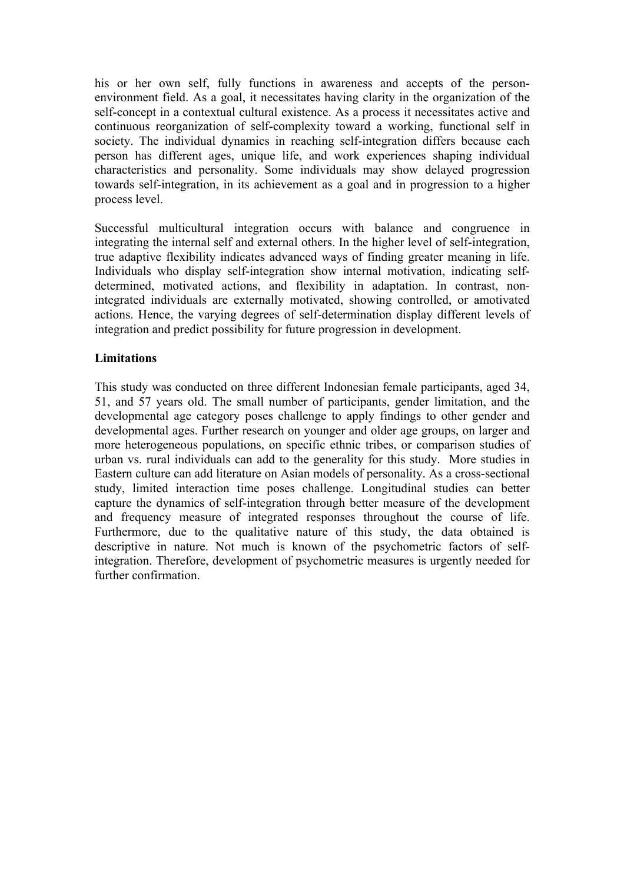his or her own self, fully functions in awareness and accepts of the personenvironment field. As a goal, it necessitates having clarity in the organization of the self-concept in a contextual cultural existence. As a process it necessitates active and continuous reorganization of self-complexity toward a working, functional self in society. The individual dynamics in reaching self-integration differs because each person has different ages, unique life, and work experiences shaping individual characteristics and personality. Some individuals may show delayed progression towards self-integration, in its achievement as a goal and in progression to a higher process level.

Successful multicultural integration occurs with balance and congruence in integrating the internal self and external others. In the higher level of self-integration, true adaptive flexibility indicates advanced ways of finding greater meaning in life. Individuals who display self-integration show internal motivation, indicating selfdetermined, motivated actions, and flexibility in adaptation. In contrast, nonintegrated individuals are externally motivated, showing controlled, or amotivated actions. Hence, the varying degrees of self-determination display different levels of integration and predict possibility for future progression in development.

### **Limitations**

This study was conducted on three different Indonesian female participants, aged 34, 51, and 57 years old. The small number of participants, gender limitation, and the developmental age category poses challenge to apply findings to other gender and developmental ages. Further research on younger and older age groups, on larger and more heterogeneous populations, on specific ethnic tribes, or comparison studies of urban vs. rural individuals can add to the generality for this study. More studies in Eastern culture can add literature on Asian models of personality. As a cross-sectional study, limited interaction time poses challenge. Longitudinal studies can better capture the dynamics of self-integration through better measure of the development and frequency measure of integrated responses throughout the course of life. Furthermore, due to the qualitative nature of this study, the data obtained is descriptive in nature. Not much is known of the psychometric factors of selfintegration. Therefore, development of psychometric measures is urgently needed for further confirmation.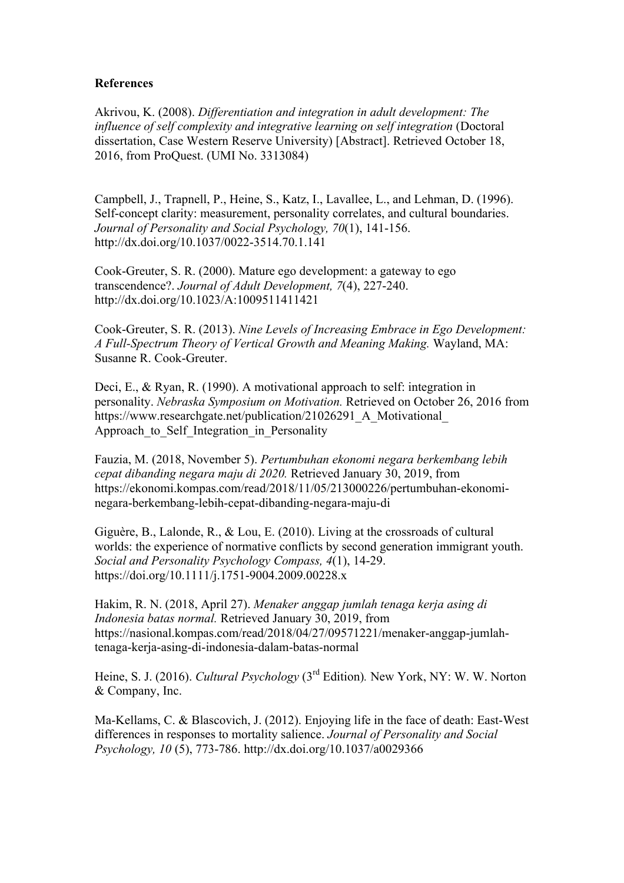#### **References**

Akrivou, K. (2008). *Differentiation and integration in adult development: The influence of self complexity and integrative learning on self integration (Doctoral* dissertation, Case Western Reserve University) [Abstract]. Retrieved October 18, 2016, from ProQuest. (UMI No. 3313084)

Campbell, J., Trapnell, P., Heine, S., Katz, I., Lavallee, L., and Lehman, D. (1996). Self-concept clarity: measurement, personality correlates, and cultural boundaries. *Journal of Personality and Social Psychology, 70*(1), 141-156. http://dx.doi.org/10.1037/0022-3514.70.1.141

Cook-Greuter, S. R. (2000). Mature ego development: a gateway to ego transcendence?. *Journal of Adult Development, 7*(4), 227-240. http://dx.doi.org/10.1023/A:1009511411421

Cook-Greuter, S. R. (2013). *Nine Levels of Increasing Embrace in Ego Development: A Full-Spectrum Theory of Vertical Growth and Meaning Making.* Wayland, MA: Susanne R. Cook-Greuter.

Deci, E., & Ryan, R. (1990). A motivational approach to self: integration in personality. *Nebraska Symposium on Motivation.* Retrieved on October 26, 2016 from https://www.researchgate.net/publication/21026291 A Motivational Approach to Self Integration in Personality

Fauzia, M. (2018, November 5). *Pertumbuhan ekonomi negara berkembang lebih cepat dibanding negara maju di 2020.* Retrieved January 30, 2019, from https://ekonomi.kompas.com/read/2018/11/05/213000226/pertumbuhan-ekonominegara-berkembang-lebih-cepat-dibanding-negara-maju-di

Giguère, B., Lalonde, R., & Lou, E. (2010). Living at the crossroads of cultural worlds: the experience of normative conflicts by second generation immigrant youth. *Social and Personality Psychology Compass, 4*(1), 14-29. https://doi.org/10.1111/j.1751-9004.2009.00228.x

Hakim, R. N. (2018, April 27). *Menaker anggap jumlah tenaga kerja asing di Indonesia batas normal.* Retrieved January 30, 2019, from https://nasional.kompas.com/read/2018/04/27/09571221/menaker-anggap-jumlahtenaga-kerja-asing-di-indonesia-dalam-batas-normal

Heine, S. J. (2016). *Cultural Psychology* (3<sup>rd</sup> Edition). New York, NY: W. W. Norton & Company, Inc.

Ma-Kellams, C. & Blascovich, J. (2012). Enjoying life in the face of death: East-West differences in responses to mortality salience. *Journal of Personality and Social Psychology, 10* (5), 773-786. http://dx.doi.org/10.1037/a0029366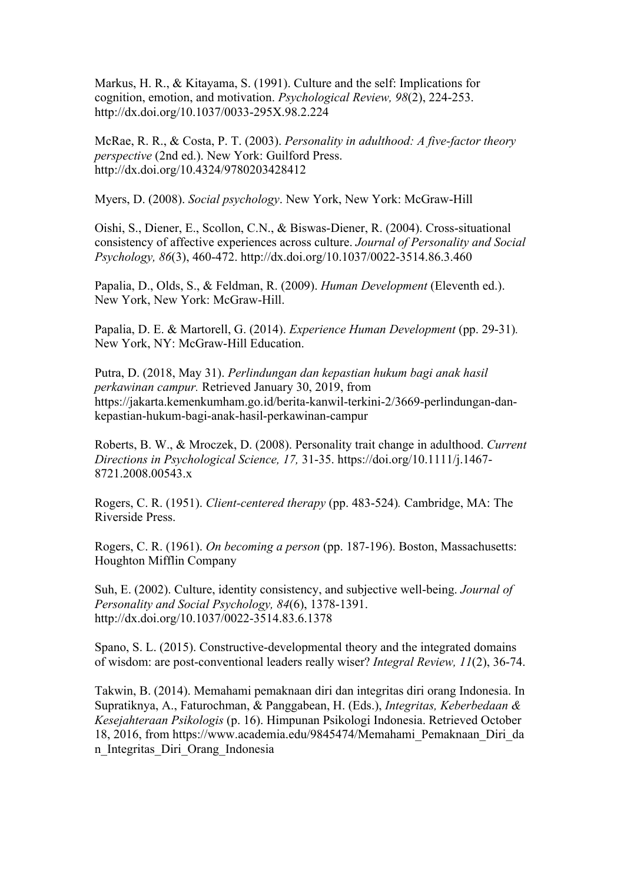Markus, H. R., & Kitayama, S. (1991). Culture and the self: Implications for cognition, emotion, and motivation. *Psychological Review, 98*(2), 224-253. http://dx.doi.org/10.1037/0033-295X.98.2.224

McRae, R. R., & Costa, P. T. (2003). *Personality in adulthood: A five-factor theory perspective* (2nd ed.). New York: Guilford Press. http://dx.doi.org/10.4324/9780203428412

Myers, D. (2008). *Social psychology*. New York, New York: McGraw-Hill

Oishi, S., Diener, E., Scollon, C.N., & Biswas-Diener, R. (2004). Cross-situational consistency of affective experiences across culture. *Journal of Personality and Social Psychology, 86*(3), 460-472. http://dx.doi.org/10.1037/0022-3514.86.3.460

Papalia, D., Olds, S., & Feldman, R. (2009). *Human Development* (Eleventh ed.). New York, New York: McGraw-Hill.

Papalia, D. E. & Martorell, G. (2014). *Experience Human Development* (pp. 29-31)*.*  New York, NY: McGraw-Hill Education.

Putra, D. (2018, May 31). *Perlindungan dan kepastian hukum bagi anak hasil perkawinan campur.* Retrieved January 30, 2019, from https://jakarta.kemenkumham.go.id/berita-kanwil-terkini-2/3669-perlindungan-dankepastian-hukum-bagi-anak-hasil-perkawinan-campur

Roberts, B. W., & Mroczek, D. (2008). Personality trait change in adulthood. *Current Directions in Psychological Science, 17,* 31-35. https://doi.org/10.1111/j.1467- 8721.2008.00543.x

Rogers, C. R. (1951). *Client-centered therapy* (pp. 483-524)*.* Cambridge, MA: The Riverside Press.

Rogers, C. R. (1961). *On becoming a person* (pp. 187-196). Boston, Massachusetts: Houghton Mifflin Company

Suh, E. (2002). Culture, identity consistency, and subjective well-being. *Journal of Personality and Social Psychology, 84*(6), 1378-1391. http://dx.doi.org/10.1037/0022-3514.83.6.1378

Spano, S. L. (2015). Constructive-developmental theory and the integrated domains of wisdom: are post-conventional leaders really wiser? *Integral Review, 11*(2), 36-74.

Takwin, B. (2014). Memahami pemaknaan diri dan integritas diri orang Indonesia. In Supratiknya, A., Faturochman, & Panggabean, H. (Eds.), *Integritas, Keberbedaan & Kesejahteraan Psikologis* (p. 16). Himpunan Psikologi Indonesia. Retrieved October 18, 2016, from https://www.academia.edu/9845474/Memahami\_Pemaknaan\_Diri\_da n\_Integritas\_Diri\_Orang\_Indonesia